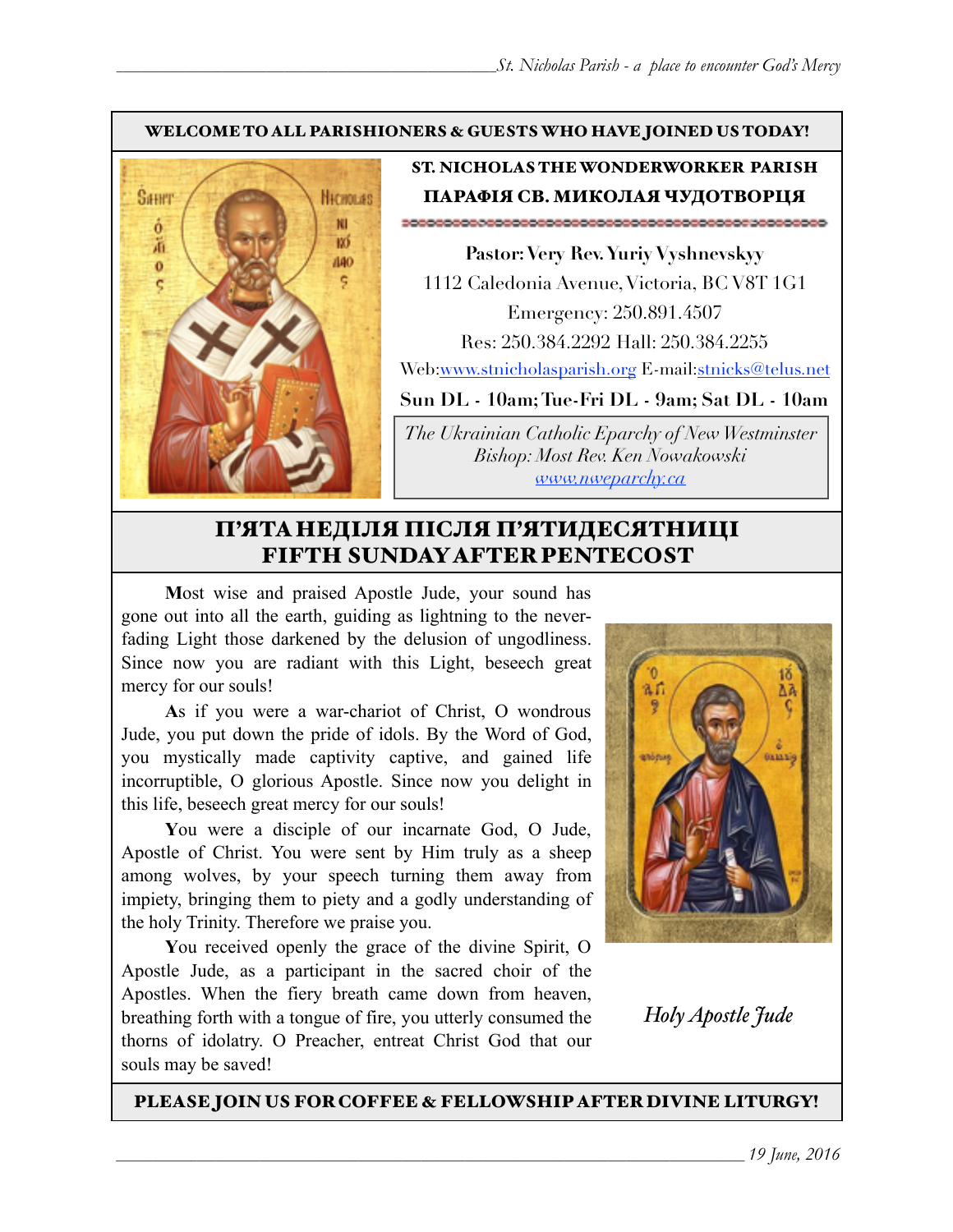#### WELCOME TO ALL PARISHIONERS & GUESTS WHO HAVE JOINED US TODAY!



# ST. NICHOLAS THE WONDERWORKER PARISH ПАРАФІЯ СВ. МИКОЛАЯ ЧУДОТВОРЦЯ

**Pastor: Very Rev. Yuriy Vyshnevskyy** 1112 Caledonia Avenue, Victoria, BC V8T 1G1 Emergency: 250.891.4507 Res: 250.384.2292 Hall: 250.384.2255 Web:[www.stnicholasparish.org](http://www.stnicholasparish.org) E-mail[:stnicks@telus.net](mailto:stnicks@telus.net)

**Sun DL - 10am; Tue-Fri DL - 9am; Sat DL - 10am** 

*The Ukrainian Catholic Eparchy of New Westminster Bishop: Most Rev. Ken Nowakowski [www.nweparchy.ca](http://www.nweparchy.ca)*

# П'ЯТАНЕДІЛЯ ПІСЛЯ П'ЯТИДЕСЯТНИЦІ FIFTH SUNDAY AFTER PENTECOST

**M**ost wise and praised Apostle Jude, your sound has gone out into all the earth, guiding as lightning to the neverfading Light those darkened by the delusion of ungodliness. Since now you are radiant with this Light, beseech great mercy for our souls!

**A**s if you were a war-chariot of Christ, O wondrous Jude, you put down the pride of idols. By the Word of God, you mystically made captivity captive, and gained life incorruptible, O glorious Apostle. Since now you delight in this life, beseech great mercy for our souls!

**Y**ou were a disciple of our incarnate God, O Jude, Apostle of Christ. You were sent by Him truly as a sheep among wolves, by your speech turning them away from impiety, bringing them to piety and a godly understanding of the holy Trinity. Therefore we praise you.

**Y**ou received openly the grace of the divine Spirit, O Apostle Jude, as a participant in the sacred choir of the Apostles. When the fiery breath came down from heaven, breathing forth with a tongue of fire, you utterly consumed the thorns of idolatry. O Preacher, entreat Christ God that our souls may be saved!



*Holy Apostle Jude*

PLEASE JOIN US FOR COFFEE & FELLOWSHIP AFTER DIVINE LITURGY!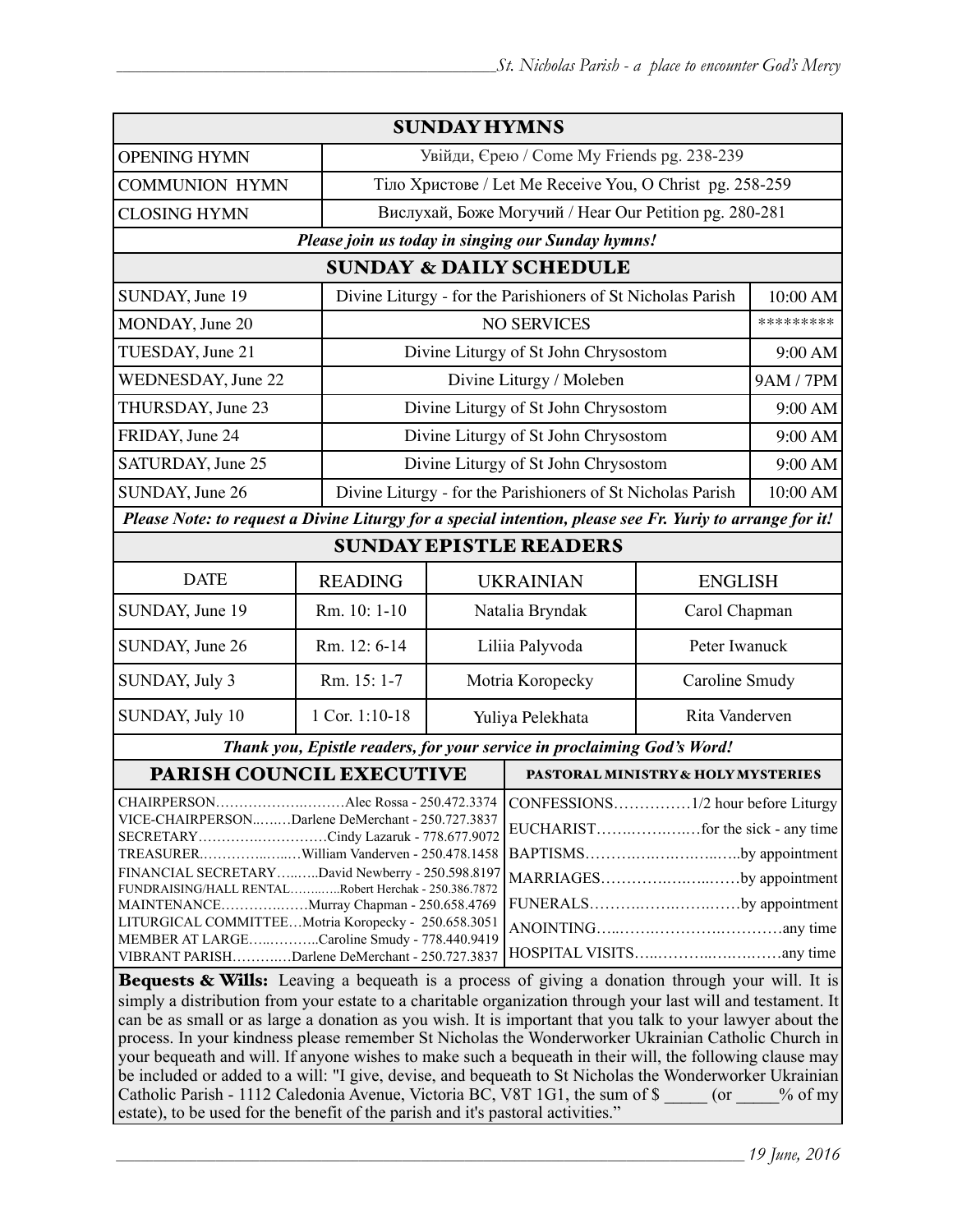| <b>SUNDAY HYMNS</b>                                                                                                                                                                                                                                                                                                                                                                                                                                                                                                                                                                                                                                                                                                          |                                                             |                                                          |                                                             |                |           |  |
|------------------------------------------------------------------------------------------------------------------------------------------------------------------------------------------------------------------------------------------------------------------------------------------------------------------------------------------------------------------------------------------------------------------------------------------------------------------------------------------------------------------------------------------------------------------------------------------------------------------------------------------------------------------------------------------------------------------------------|-------------------------------------------------------------|----------------------------------------------------------|-------------------------------------------------------------|----------------|-----------|--|
| <b>OPENING HYMN</b>                                                                                                                                                                                                                                                                                                                                                                                                                                                                                                                                                                                                                                                                                                          |                                                             | Увійди, Єрею / Come My Friends pg. 238-239               |                                                             |                |           |  |
| <b>COMMUNION HYMN</b>                                                                                                                                                                                                                                                                                                                                                                                                                                                                                                                                                                                                                                                                                                        |                                                             | Тіло Христове / Let Me Receive You, O Christ pg. 258-259 |                                                             |                |           |  |
| <b>CLOSING HYMN</b>                                                                                                                                                                                                                                                                                                                                                                                                                                                                                                                                                                                                                                                                                                          |                                                             | Вислухай, Боже Могучий / Hear Our Petition pg. 280-281   |                                                             |                |           |  |
| Please join us today in singing our Sunday hymns!                                                                                                                                                                                                                                                                                                                                                                                                                                                                                                                                                                                                                                                                            |                                                             |                                                          |                                                             |                |           |  |
| <b>SUNDAY &amp; DAILY SCHEDULE</b>                                                                                                                                                                                                                                                                                                                                                                                                                                                                                                                                                                                                                                                                                           |                                                             |                                                          |                                                             |                |           |  |
| SUNDAY, June 19                                                                                                                                                                                                                                                                                                                                                                                                                                                                                                                                                                                                                                                                                                              |                                                             |                                                          | Divine Liturgy - for the Parishioners of St Nicholas Parish |                | 10:00 AM  |  |
| MONDAY, June 20                                                                                                                                                                                                                                                                                                                                                                                                                                                                                                                                                                                                                                                                                                              |                                                             |                                                          | <b>NO SERVICES</b>                                          |                | ********* |  |
| TUESDAY, June 21                                                                                                                                                                                                                                                                                                                                                                                                                                                                                                                                                                                                                                                                                                             |                                                             | Divine Liturgy of St John Chrysostom                     |                                                             |                | 9:00 AM   |  |
| <b>WEDNESDAY, June 22</b>                                                                                                                                                                                                                                                                                                                                                                                                                                                                                                                                                                                                                                                                                                    |                                                             | Divine Liturgy / Moleben                                 |                                                             |                | 9AM / 7PM |  |
| THURSDAY, June 23                                                                                                                                                                                                                                                                                                                                                                                                                                                                                                                                                                                                                                                                                                            |                                                             | Divine Liturgy of St John Chrysostom                     |                                                             |                | 9:00 AM   |  |
| FRIDAY, June 24                                                                                                                                                                                                                                                                                                                                                                                                                                                                                                                                                                                                                                                                                                              |                                                             | Divine Liturgy of St John Chrysostom                     |                                                             |                | 9:00 AM   |  |
| SATURDAY, June 25                                                                                                                                                                                                                                                                                                                                                                                                                                                                                                                                                                                                                                                                                                            |                                                             | Divine Liturgy of St John Chrysostom                     |                                                             |                | 9:00 AM   |  |
| SUNDAY, June 26                                                                                                                                                                                                                                                                                                                                                                                                                                                                                                                                                                                                                                                                                                              | Divine Liturgy - for the Parishioners of St Nicholas Parish |                                                          |                                                             |                | 10:00 AM  |  |
| Please Note: to request a Divine Liturgy for a special intention, please see Fr. Yuriy to arrange for it!                                                                                                                                                                                                                                                                                                                                                                                                                                                                                                                                                                                                                    |                                                             |                                                          |                                                             |                |           |  |
| <b>SUNDAY EPISTLE READERS</b>                                                                                                                                                                                                                                                                                                                                                                                                                                                                                                                                                                                                                                                                                                |                                                             |                                                          |                                                             |                |           |  |
| <b>DATE</b>                                                                                                                                                                                                                                                                                                                                                                                                                                                                                                                                                                                                                                                                                                                  | <b>READING</b>                                              | <b>UKRAINIAN</b>                                         |                                                             | <b>ENGLISH</b> |           |  |
| SUNDAY, June 19                                                                                                                                                                                                                                                                                                                                                                                                                                                                                                                                                                                                                                                                                                              | Rm. 10: 1-10                                                | Natalia Bryndak                                          |                                                             | Carol Chapman  |           |  |
| SUNDAY, June 26                                                                                                                                                                                                                                                                                                                                                                                                                                                                                                                                                                                                                                                                                                              | Rm. 12: 6-14                                                | Liliia Palyvoda                                          |                                                             | Peter Iwanuck  |           |  |
| SUNDAY, July 3                                                                                                                                                                                                                                                                                                                                                                                                                                                                                                                                                                                                                                                                                                               | Rm. 15: 1-7                                                 | Motria Koropecky                                         |                                                             | Caroline Smudy |           |  |
| SUNDAY, July 10                                                                                                                                                                                                                                                                                                                                                                                                                                                                                                                                                                                                                                                                                                              | 1 Cor. 1:10-18                                              | Yuliya Pelekhata                                         |                                                             | Rita Vanderven |           |  |
| Thank you, Epistle readers, for your service in proclaiming God's Word!                                                                                                                                                                                                                                                                                                                                                                                                                                                                                                                                                                                                                                                      |                                                             |                                                          |                                                             |                |           |  |
| PARISH COUNCIL EXECUTIVE                                                                                                                                                                                                                                                                                                                                                                                                                                                                                                                                                                                                                                                                                                     |                                                             |                                                          | PASTORAL MINISTRY & HOLY MYSTERIES                          |                |           |  |
| Alec Rossa - 250.472.3374   CONFESSIONS1/2 hour before Liturgy<br>CHAIRPERSON<br>VICE-CHAIRPERSONDarlene DeMerchant - 250.727.3837<br>SECRETARYCindy Lazaruk - 778.677.9072<br>BAPTISMSby appointment<br>TREASURERWilliam Vanderven - 250.478.1458<br>FINANCIAL SECRETARYDavid Newberry - 250.598.8197<br>MARRIAGESby appointment<br>FUNDRAISING/HALL RENTALRobert Herchak - 250.386.7872<br>FUNERALSby appointment<br>MAINTENANCEMurray Chapman - 250.658.4769<br>LITURGICAL COMMITTEEMotria Koropecky - 250.658.3051<br>MEMBER AT LARGECaroline Smudy - 778.440.9419<br>VIBRANT PARISHDarlene DeMerchant - 250.727.3837<br>Bequests & Wills: Leaving a bequeath is a process of giving a donation through your will. It is |                                                             |                                                          |                                                             |                |           |  |
| simply a distribution from your estate to a charitable organization through your last will and testament. It<br>can be as small or as large a donation as you wish. It is important that you talk to your lawyer about the                                                                                                                                                                                                                                                                                                                                                                                                                                                                                                   |                                                             |                                                          |                                                             |                |           |  |

process. In your kindness please remember St Nicholas the Wonderworker Ukrainian Catholic Church in your bequeath and will. If anyone wishes to make such a bequeath in their will, the following clause may be included or added to a will: "I give, devise, and bequeath to St Nicholas the Wonderworker Ukrainian Catholic Parish - 1112 Caledonia Avenue, Victoria BC, V8T 1G1, the sum of \$ \_\_\_\_\_ (or \_\_\_\_% of my estate), to be used for the benefit of the parish and it's pastoral activities."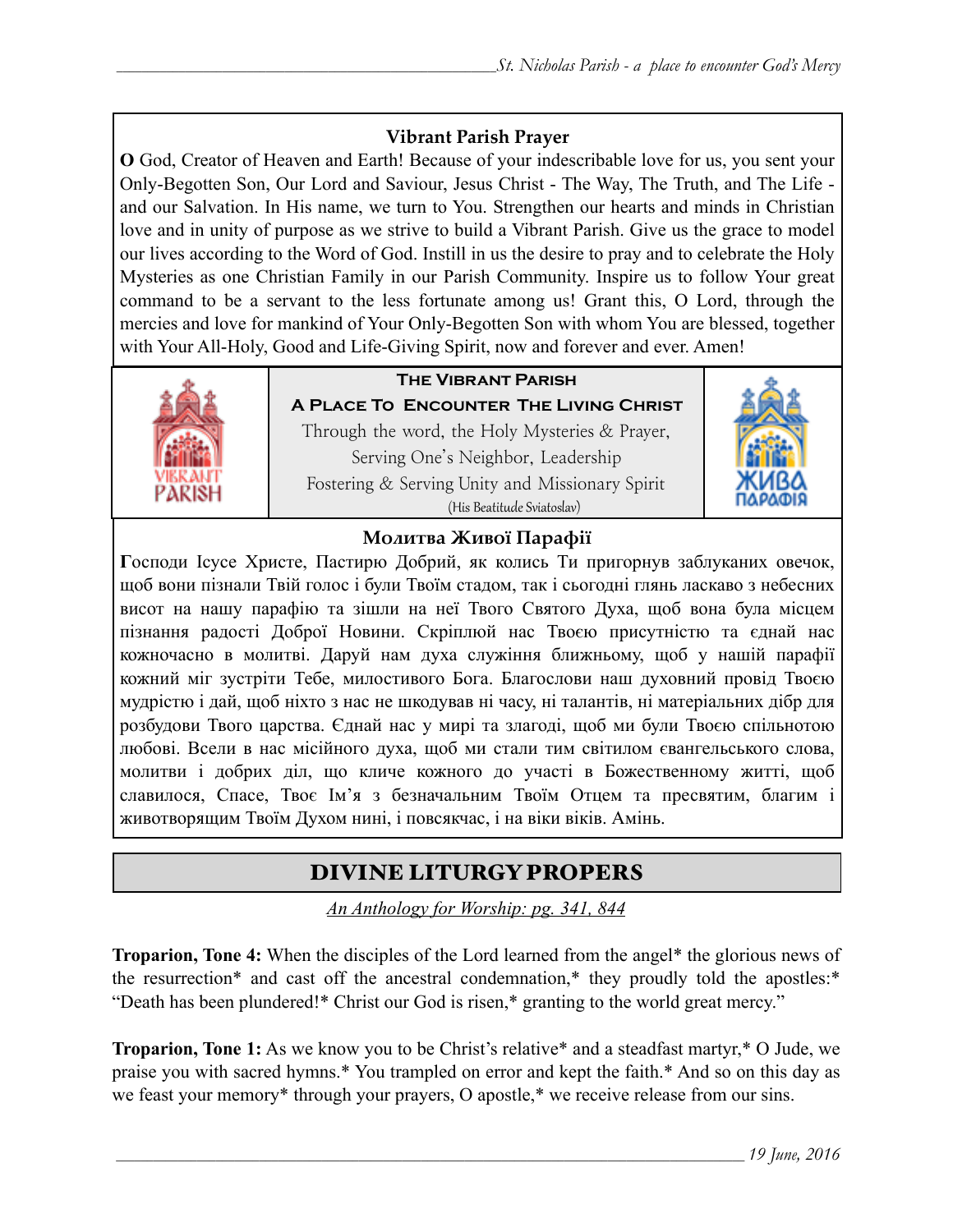### **Vibrant Parish Prayer**

**O** God, Creator of Heaven and Earth! Because of your indescribable love for us, you sent your Only-Begotten Son, Our Lord and Saviour, Jesus Christ - The Way, The Truth, and The Life and our Salvation. In His name, we turn to You. Strengthen our hearts and minds in Christian love and in unity of purpose as we strive to build a Vibrant Parish. Give us the grace to model our lives according to the Word of God. Instill in us the desire to pray and to celebrate the Holy Mysteries as one Christian Family in our Parish Community. Inspire us to follow Your great command to be a servant to the less fortunate among us! Grant this, O Lord, through the mercies and love for mankind of Your Only-Begotten Son with whom You are blessed, together with Your All-Holy, Good and Life-Giving Spirit, now and forever and ever. Amen!



# **The Vibrant Parish**

**A Place To Encounter The Living Christ** Through the word, the Holy Mysteries & Prayer, Serving One's Neighbor, Leadership Fostering & Serving Unity and Missionary Spirit (His Beatitude Sviatoslav)



### **Молитва Живої Парафії**

**Г**осподи Ісусе Христе, Пастирю Добрий, як колись Ти пригорнув заблуканих овечок, щоб вони пізнали Твій голос і були Твоїм стадом, так і сьогодні глянь ласкаво з небесних висот на нашу парафію та зішли на неї Твого Святого Духа, щоб вона була місцем пізнання радості Доброї Новини. Скріплюй нас Твоєю присутністю та єднай нас кожночасно в молитві. Даруй нам духа служіння ближньому, щоб у нашій парафії кожний міг зустріти Тебе, милостивого Бога. Благослови наш духовний провід Твоєю мудрістю і дай, щоб ніхто з нас не шкодував ні часу, ні талантів, ні матеріальних дібр для розбудови Твого царства. Єднай нас у мирі та злагоді, щоб ми були Твоєю спільнотою любові. Всели в нас місійного духа, щоб ми стали тим світилом євангельського слова, молитви і добрих діл, що кличе кожного до участі в Божественному житті, щоб славилося, Спасе, Твоє Ім'я з безначальним Твоїм Отцем та пресвятим, благим і животворящим Твоїм Духом нині, і повсякчас, і на віки віків. Амінь.

# DIVINE LITURGY PROPERS

*An Anthology for Worship: pg. 341, 844*

**Troparion, Tone 4:** When the disciples of the Lord learned from the angel\* the glorious news of the resurrection\* and cast off the ancestral condemnation,\* they proudly told the apostles:\* "Death has been plundered!\* Christ our God is risen,\* granting to the world great mercy."

**Troparion, Tone 1:** As we know you to be Christ's relative\* and a steadfast martyr,\* O Jude, we praise you with sacred hymns.\* You trampled on error and kept the faith.\* And so on this day as we feast your memory\* through your prayers, O apostle,\* we receive release from our sins.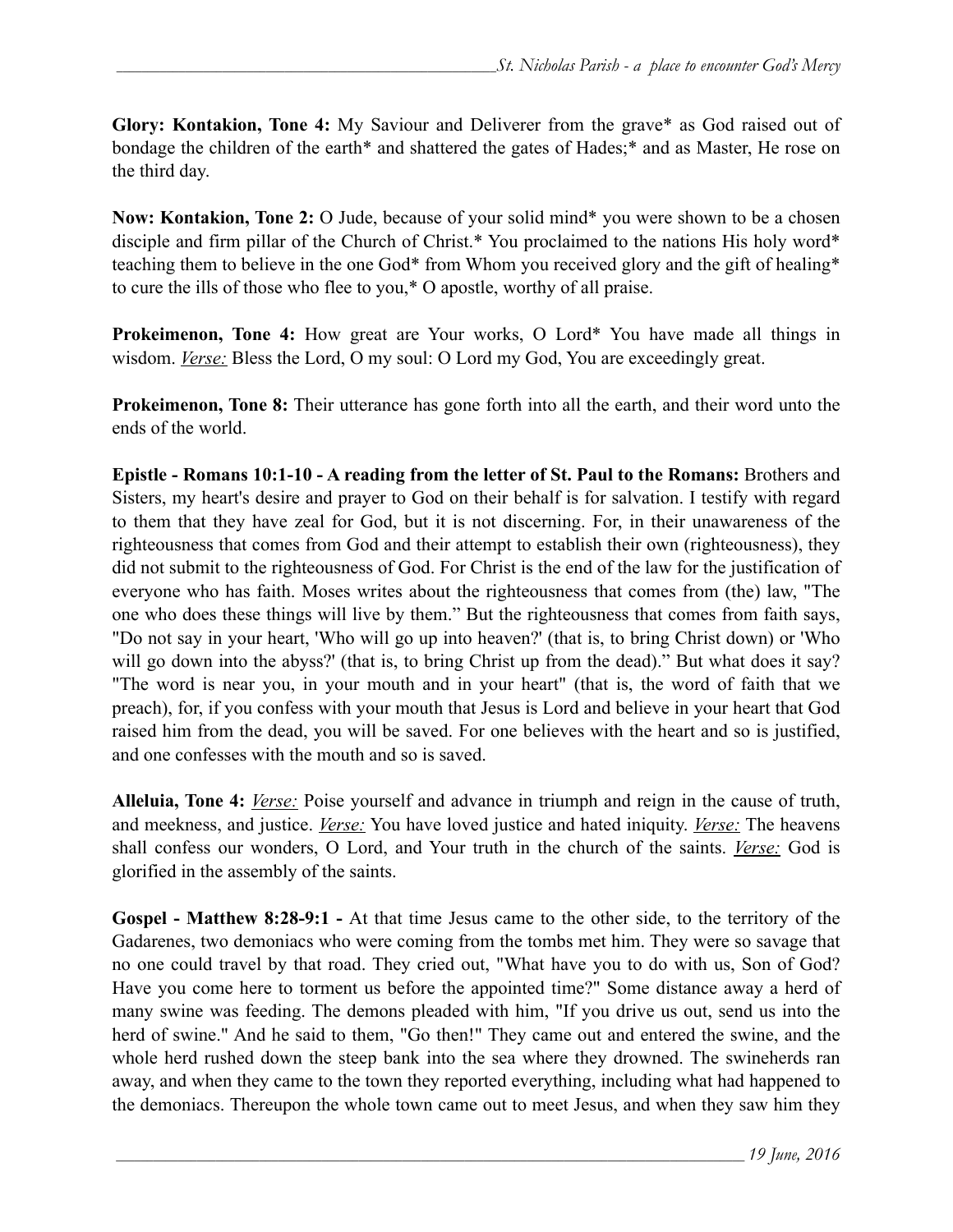**Glory: Kontakion, Tone 4:** My Saviour and Deliverer from the grave\* as God raised out of bondage the children of the earth\* and shattered the gates of Hades;\* and as Master, He rose on the third day.

**Now: Kontakion, Tone 2:** O Jude, because of your solid mind\* you were shown to be a chosen disciple and firm pillar of the Church of Christ.\* You proclaimed to the nations His holy word\* teaching them to believe in the one God\* from Whom you received glory and the gift of healing\* to cure the ills of those who flee to you,\* O apostle, worthy of all praise.

**Prokeimenon, Tone 4:** How great are Your works, O Lord\* You have made all things in wisdom. *Verse:* Bless the Lord, O my soul: O Lord my God, You are exceedingly great.

**Prokeimenon, Tone 8:** Their utterance has gone forth into all the earth, and their word unto the ends of the world.

**Epistle - Romans 10:1-10 - A reading from the letter of St. Paul to the Romans:** Brothers and Sisters, my heart's desire and prayer to God on their behalf is for salvation. I testify with regard to them that they have zeal for God, but it is not discerning. For, in their unawareness of the righteousness that comes from God and their attempt to establish their own (righteousness), they did not submit to the righteousness of God. For Christ is the end of the law for the justification of everyone who has faith. Moses writes about the righteousness that comes from (the) law, "The one who does these things will live by them." But the righteousness that comes from faith says, "Do not say in your heart, 'Who will go up into heaven?' (that is, to bring Christ down) or 'Who will go down into the abyss?' (that is, to bring Christ up from the dead)." But what does it say? "The word is near you, in your mouth and in your heart" (that is, the word of faith that we preach), for, if you confess with your mouth that Jesus is Lord and believe in your heart that God raised him from the dead, you will be saved. For one believes with the heart and so is justified, and one confesses with the mouth and so is saved.

**Alleluia, Tone 4:** *Verse:* Poise yourself and advance in triumph and reign in the cause of truth, and meekness, and justice. *Verse:* You have loved justice and hated iniquity. *Verse:* The heavens shall confess our wonders, O Lord, and Your truth in the church of the saints. *Verse:* God is glorified in the assembly of the saints.

**Gospel - Matthew 8:28-9:1 -** At that time Jesus came to the other side, to the territory of the Gadarenes, two demoniacs who were coming from the tombs met him. They were so savage that no one could travel by that road. They cried out, "What have you to do with us, Son of God? Have you come here to torment us before the appointed time?" Some distance away a herd of many swine was feeding. The demons pleaded with him, "If you drive us out, send us into the herd of swine." And he said to them, "Go then!" They came out and entered the swine, and the whole herd rushed down the steep bank into the sea where they drowned. The swineherds ran away, and when they came to the town they reported everything, including what had happened to the demoniacs. Thereupon the whole town came out to meet Jesus, and when they saw him they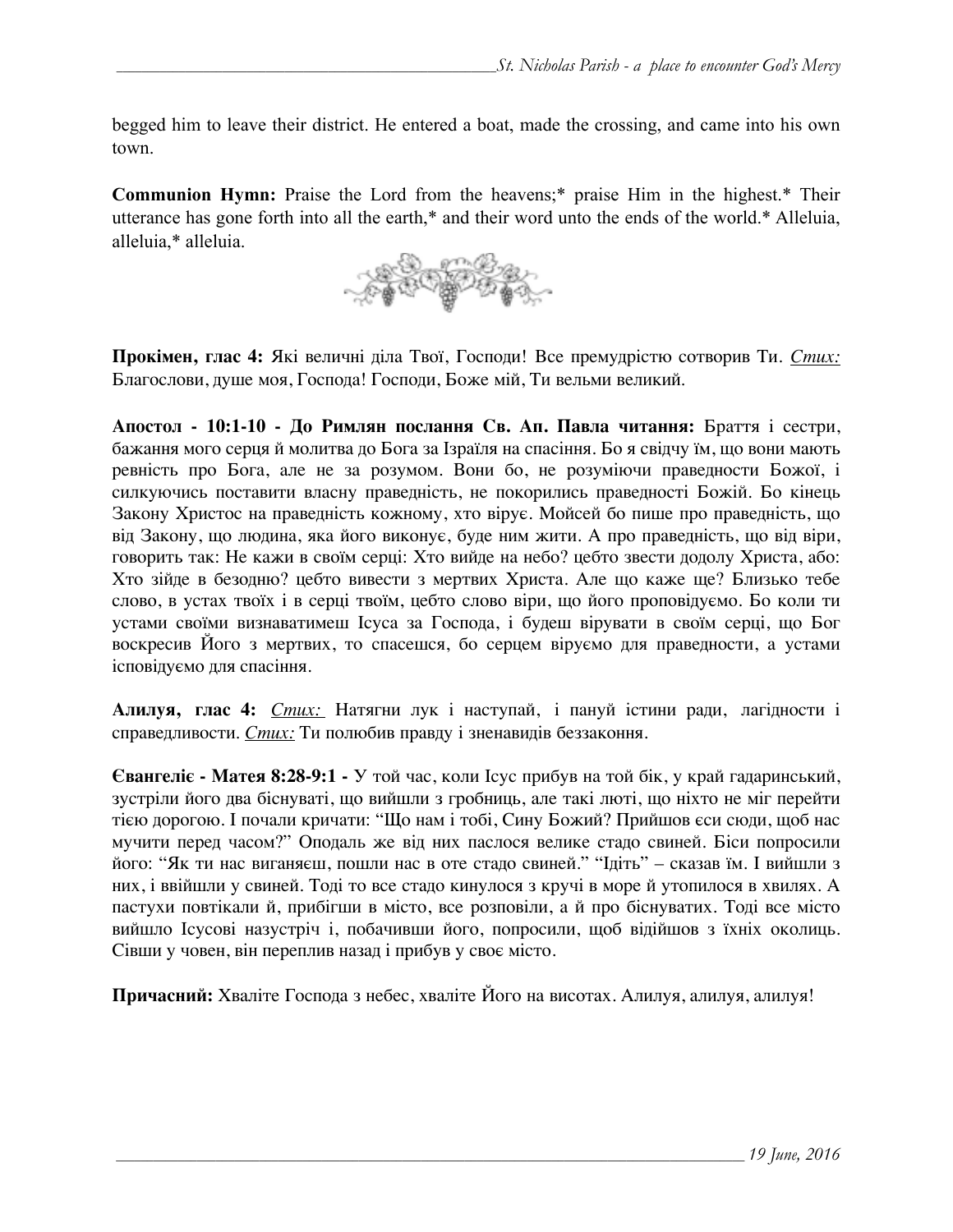begged him to leave their district. He entered a boat, made the crossing, and came into his own town.

**Communion Hymn:** Praise the Lord from the heavens;\* praise Him in the highest.\* Their utterance has gone forth into all the earth,\* and their word unto the ends of the world.\* Alleluia, alleluia,\* alleluia.



**Прокімен, глас 4:** Які величні діла Твої, Господи! Все премудрістю сотворив Ти. *Стих:* Благослови, душе моя, Господа! Господи, Боже мій, Ти вельми великий.

**Апостол - 10:1-10 - До Римлян послання Св. Ап. Павла читання:** Браття і сестри, бажання мого серця й молитва до Бога за Ізраїля на спасіння. Бо я свідчу їм, що вони мають ревність про Бога, але не за розумом. Вони бо, не розуміючи праведности Божої, і силкуючись поставити власну праведність, не покорились праведності Божій. Бо кінець Закону Христос на праведність кожному, хто вірує. Мойсей бо пише про праведність, що від Закону, що людина, яка його виконує, буде ним жити. А про праведність, що від віри, говорить так: Не кажи в своїм серці: Хто вийде на небо? цебто звести додолу Христа, або: Хто зійде в безодню? цебто вивести з мертвих Христа. Але що каже ще? Близько тебе слово, в устах твоїх і в серці твоїм, цебто слово віри, що його проповідуємо. Бо коли ти устами своїми визнаватимеш Ісуса за Господа, і будеш вірувати в своїм серці, що Бог воскресив Його з мертвих, то спасешся, бо серцем віруємо для праведности, а устами ісповідуємо для спасіння.

**Алилуя, глас 4:** *Стих:* Натягни лук і наступай, і пануй істини ради, лагідности і справедливости. *Стих:* Ти полюбив правду і зненавидів беззаконня.

**Євангеліє - Матея 8:28-9:1 -** У той час, коли Ісус прибув на той бік, у край гадаринський, зустріли його два біснуваті, що вийшли з гробниць, але такі люті, що ніхто не міг перейти тією дорогою. І почали кричати: "Що нам і тобі, Сину Божий? Прийшов єси сюди, щоб нас мучити перед часом?" Оподаль же від них паслося велике стадо свиней. Біси попросили його: "Як ти нас виганяєш, пошли нас в оте стадо свиней." "Ідіть" – сказав їм. І вийшли з них, і ввійшли у свиней. Тоді то все стадо кинулося з кручі в море й утопилося в хвилях. А пастухи повтікали й, прибігши в місто, все розповіли, а й про біснуватих. Тоді все місто вийшло Ісусові назустріч і, побачивши його, попросили, щоб відійшов з їхніх околиць. Сівши у човен, він переплив назад і прибув у своє місто.

**Причасний:** Хваліте Господа з небес, хваліте Його на висотах. Алилуя, алилуя, алилуя!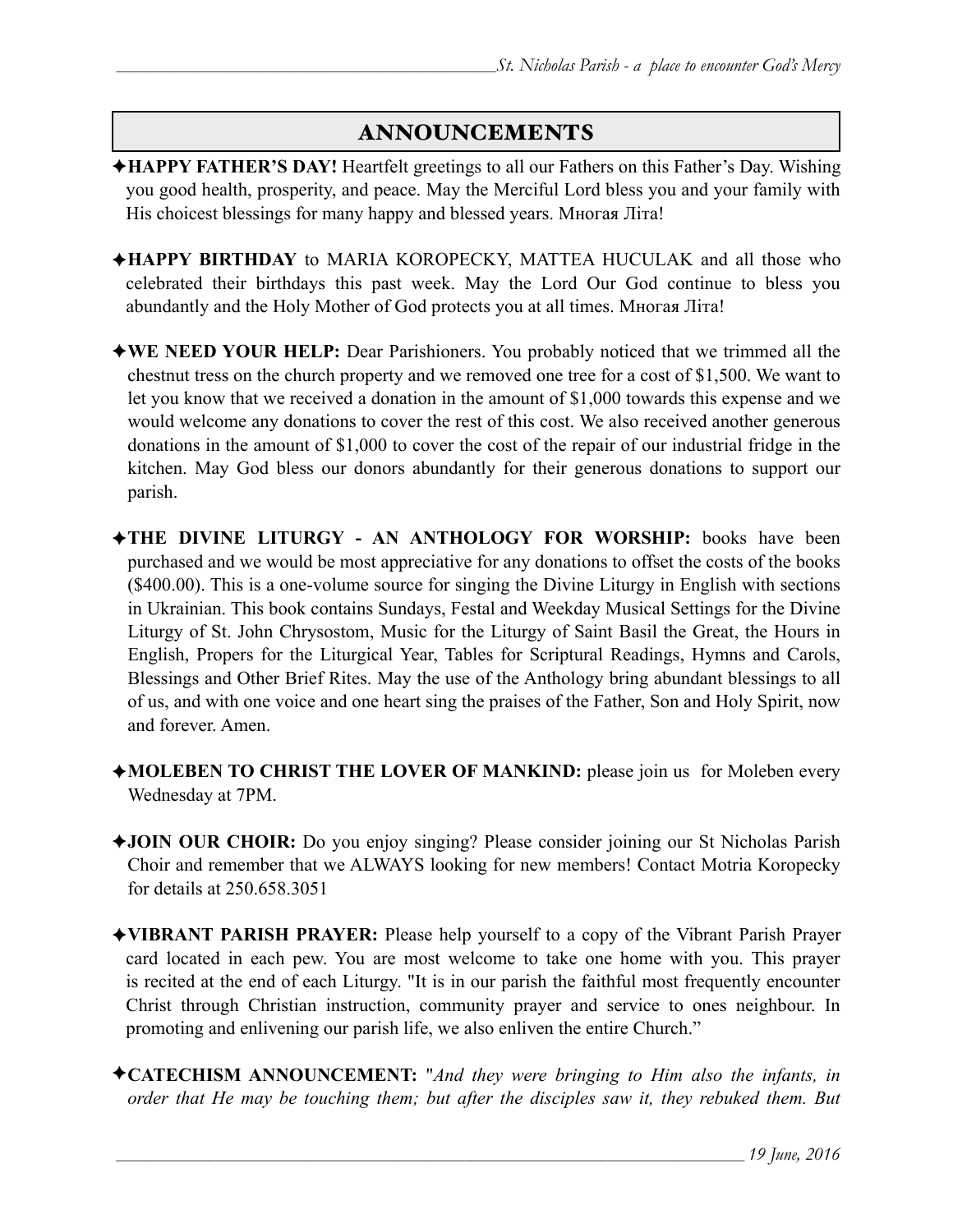### ANNOUNCEMENTS

- ✦**HAPPY FATHER'S DAY!** Heartfelt greetings to all our Fathers on this Father's Day. Wishing you good health, prosperity, and peace. May the Merciful Lord bless you and your family with His choicest blessings for many happy and blessed years. Многая Літа!
- ✦**HAPPY BIRTHDAY** to MARIA KOROPECKY, MATTEA HUCULAK and all those who celebrated their birthdays this past week. May the Lord Our God continue to bless you abundantly and the Holy Mother of God protects you at all times. Многая Літа!
- ✦**WE NEED YOUR HELP:** Dear Parishioners. You probably noticed that we trimmed all the chestnut tress on the church property and we removed one tree for a cost of \$1,500. We want to let you know that we received a donation in the amount of \$1,000 towards this expense and we would welcome any donations to cover the rest of this cost. We also received another generous donations in the amount of \$1,000 to cover the cost of the repair of our industrial fridge in the kitchen. May God bless our donors abundantly for their generous donations to support our parish.
- ✦**THE DIVINE LITURGY AN ANTHOLOGY FOR WORSHIP:** books have been purchased and we would be most appreciative for any donations to offset the costs of the books (\$400.00). This is a one-volume source for singing the Divine Liturgy in English with sections in Ukrainian. This book contains Sundays, Festal and Weekday Musical Settings for the Divine Liturgy of St. John Chrysostom, Music for the Liturgy of Saint Basil the Great, the Hours in English, Propers for the Liturgical Year, Tables for Scriptural Readings, Hymns and Carols, Blessings and Other Brief Rites. May the use of the Anthology bring abundant blessings to all of us, and with one voice and one heart sing the praises of the Father, Son and Holy Spirit, now and forever. Amen.
- ✦**MOLEBEN TO CHRIST THE LOVER OF MANKIND:** please join us for Moleben every Wednesday at 7PM.
- ✦**JOIN OUR CHOIR:** Do you enjoy singing? Please consider joining our St Nicholas Parish Choir and remember that we ALWAYS looking for new members! Contact Motria Koropecky for details at 250.658.3051
- ✦**VIBRANT PARISH PRAYER:** Please help yourself to a copy of the Vibrant Parish Prayer card located in each pew. You are most welcome to take one home with you. This prayer is recited at the end of each Liturgy. "It is in our parish the faithful most frequently encounter Christ through Christian instruction, community prayer and service to ones neighbour. In promoting and enlivening our parish life, we also enliven the entire Church."
- ✦**CATECHISM ANNOUNCEMENT:** "*And they were bringing to Him also the infants, in order that He may be touching them; but after the disciples saw it, they rebuked them. But*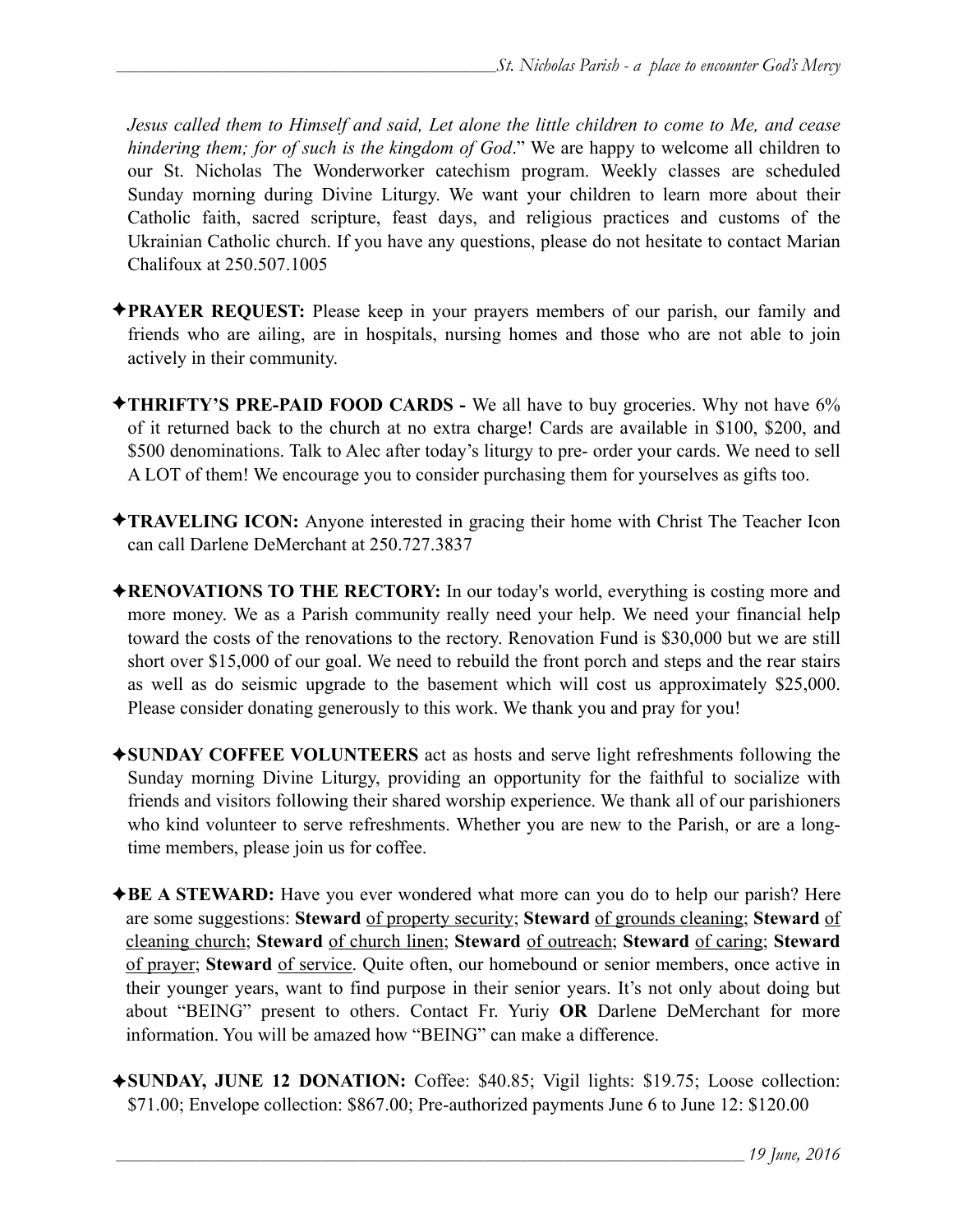*Jesus called them to Himself and said, Let alone the little children to come to Me, and cease hindering them; for of such is the kingdom of God*." We are happy to welcome all children to our St. Nicholas The Wonderworker catechism program. Weekly classes are scheduled Sunday morning during Divine Liturgy. We want your children to learn more about their Catholic faith, sacred scripture, feast days, and religious practices and customs of the Ukrainian Catholic church. If you have any questions, please do not hesitate to contact Marian Chalifoux at 250.507.1005

- ✦**PRAYER REQUEST:** Please keep in your prayers members of our parish, our family and friends who are ailing, are in hospitals, nursing homes and those who are not able to join actively in their community.
- ✦**THRIFTY'S PRE-PAID FOOD CARDS** We all have to buy groceries. Why not have 6% of it returned back to the church at no extra charge! Cards are available in \$100, \$200, and \$500 denominations. Talk to Alec after today's liturgy to pre- order your cards. We need to sell A LOT of them! We encourage you to consider purchasing them for yourselves as gifts too.
- ✦**TRAVELING ICON:** Anyone interested in gracing their home with Christ The Teacher Icon can call Darlene DeMerchant at 250.727.3837
- ✦**RENOVATIONS TO THE RECTORY:** In our today's world, everything is costing more and more money. We as a Parish community really need your help. We need your financial help toward the costs of the renovations to the rectory. Renovation Fund is \$30,000 but we are still short over \$15,000 of our goal. We need to rebuild the front porch and steps and the rear stairs as well as do seismic upgrade to the basement which will cost us approximately \$25,000. Please consider donating generously to this work. We thank you and pray for you!
- ✦**SUNDAY COFFEE VOLUNTEERS** act as hosts and serve light refreshments following the Sunday morning Divine Liturgy, providing an opportunity for the faithful to socialize with friends and visitors following their shared worship experience. We thank all of our parishioners who kind volunteer to serve refreshments. Whether you are new to the Parish, or are a longtime members, please join us for coffee.
- ✦**BE A STEWARD:** Have you ever wondered what more can you do to help our parish? Here are some suggestions: **Steward** of property security; **Steward** of grounds cleaning; **Steward** of cleaning church; **Steward** of church linen; **Steward** of outreach; **Steward** of caring; **Steward** of prayer; **Steward** of service. Quite often, our homebound or senior members, once active in their younger years, want to find purpose in their senior years. It's not only about doing but about "BEING" present to others. Contact Fr. Yuriy **OR** Darlene DeMerchant for more information. You will be amazed how "BEING" can make a difference.
- ✦**SUNDAY, JUNE 12 DONATION:** Coffee: \$40.85; Vigil lights: \$19.75; Loose collection: \$71.00; Envelope collection: \$867.00; Pre-authorized payments June 6 to June 12: \$120.00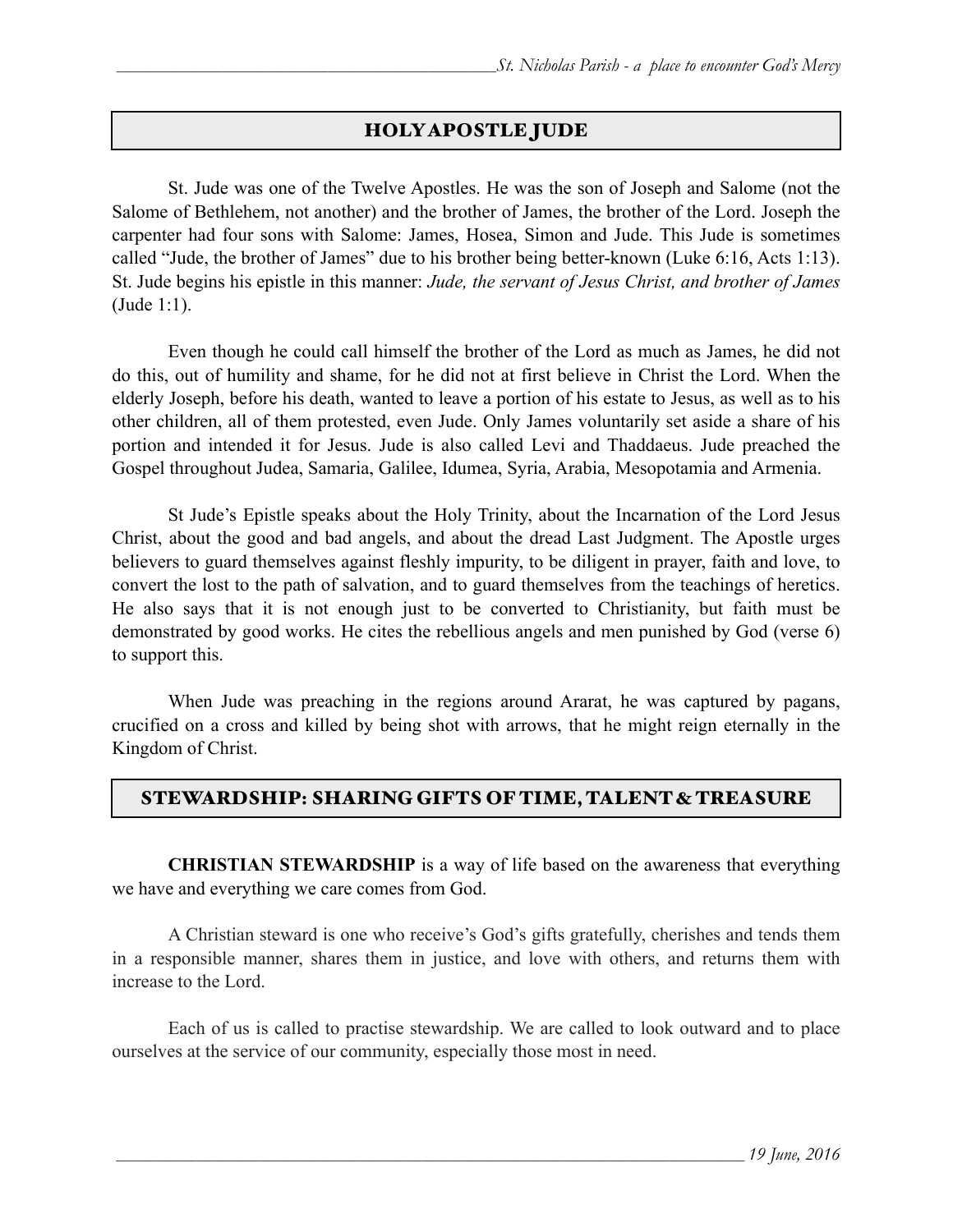### HOLY APOSTLE JUDE

 St. Jude was one of the Twelve Apostles. He was the son of Joseph and Salome (not the Salome of Bethlehem, not another) and the brother of James, the brother of the Lord. Joseph the carpenter had four sons with Salome: James, Hosea, Simon and Jude. This Jude is sometimes called "Jude, the brother of James" due to his brother being better-known (Luke 6:16, Acts 1:13). St. Jude begins his epistle in this manner: *Jude, the servant of Jesus Christ, and brother of James* (Jude 1:1).

 Even though he could call himself the brother of the Lord as much as James, he did not do this, out of humility and shame, for he did not at first believe in Christ the Lord. When the elderly Joseph, before his death, wanted to leave a portion of his estate to Jesus, as well as to his other children, all of them protested, even Jude. Only James voluntarily set aside a share of his portion and intended it for Jesus. Jude is also called Levi and Thaddaeus. Jude preached the Gospel throughout Judea, Samaria, Galilee, Idumea, Syria, Arabia, Mesopotamia and Armenia.

 St Jude's Epistle speaks about the Holy Trinity, about the Incarnation of the Lord Jesus Christ, about the good and bad angels, and about the dread Last Judgment. The Apostle urges believers to guard themselves against fleshly impurity, to be diligent in prayer, faith and love, to convert the lost to the path of salvation, and to guard themselves from the teachings of heretics. He also says that it is not enough just to be converted to Christianity, but faith must be demonstrated by good works. He cites the rebellious angels and men punished by God (verse 6) to support this.

 When Jude was preaching in the regions around Ararat, he was captured by pagans, crucified on a cross and killed by being shot with arrows, that he might reign eternally in the Kingdom of Christ.

### STEWARDSHIP: SHARING GIFTS OF TIME, TALENT & TREASURE

**CHRISTIAN STEWARDSHIP** is a way of life based on the awareness that everything we have and everything we care comes from God.

 A Christian steward is one who receive's God's gifts gratefully, cherishes and tends them in a responsible manner, shares them in justice, and love with others, and returns them with increase to the Lord.

 Each of us is called to practise stewardship. We are called to look outward and to place ourselves at the service of our community, especially those most in need.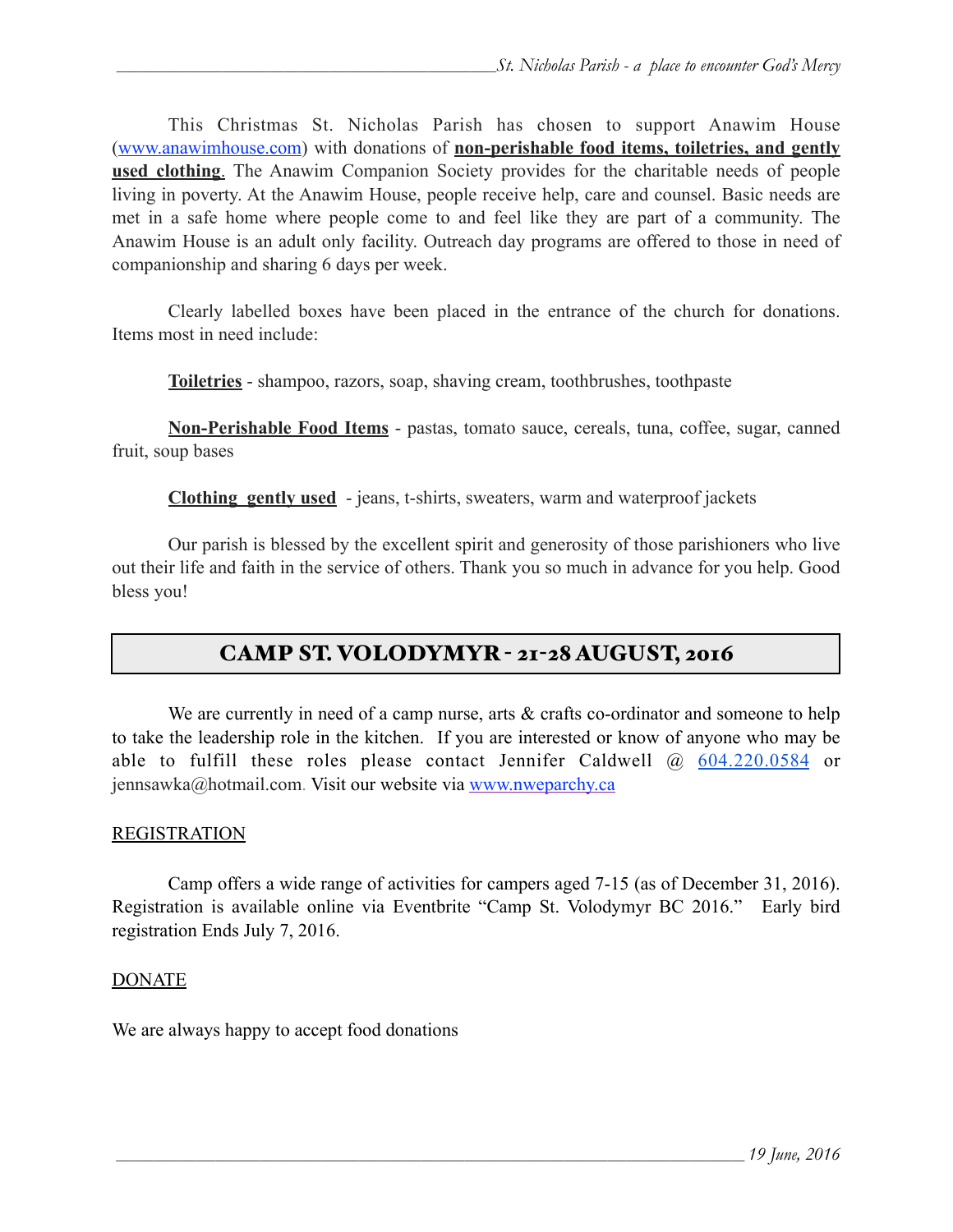This Christmas St. Nicholas Parish has chosen to support Anawim House ([www.anawimhouse.com\)](http://www.anawimhouse.com) with donations of **non-perishable food items, toiletries, and gently used clothing**. The Anawim Companion Society provides for the charitable needs of people living in poverty. At the Anawim House, people receive help, care and counsel. Basic needs are met in a safe home where people come to and feel like they are part of a community. The Anawim House is an adult only facility. Outreach day programs are offered to those in need of companionship and sharing 6 days per week.

 Clearly labelled boxes have been placed in the entrance of the church for donations. Items most in need include:

**Toiletries** - shampoo, razors, soap, shaving cream, toothbrushes, toothpaste

**Non-Perishable Food Items** - pastas, tomato sauce, cereals, tuna, coffee, sugar, canned fruit, soup bases

**Clothing gently used** - jeans, t-shirts, sweaters, warm and waterproof jackets

 Our parish is blessed by the excellent spirit and generosity of those parishioners who live out their life and faith in the service of others. Thank you so much in advance for you help. Good bless you!

### CAMP ST. VOLODYMYR - 21-28 AUGUST, 2016

We are currently in need of a camp nurse, arts & crafts co-ordinator and someone to help to take the leadership role in the kitchen. If you are interested or know of anyone who may be able to fulfill these roles please contact Jennifer Caldwell @ 604.220.0584 or jennsawka@hotmail.com. Visit our website via [www.nweparchy.ca](http://www.nweparchy.ca/)

### **REGISTRATION**

Camp offers a wide range of activities for campers aged 7-15 (as of December 31, 2016). Registration is available online via Eventbrite "Camp St. Volodymyr BC 2016." Early bird registration Ends July 7, 2016.

#### DONATE

We are always happy to accept food donations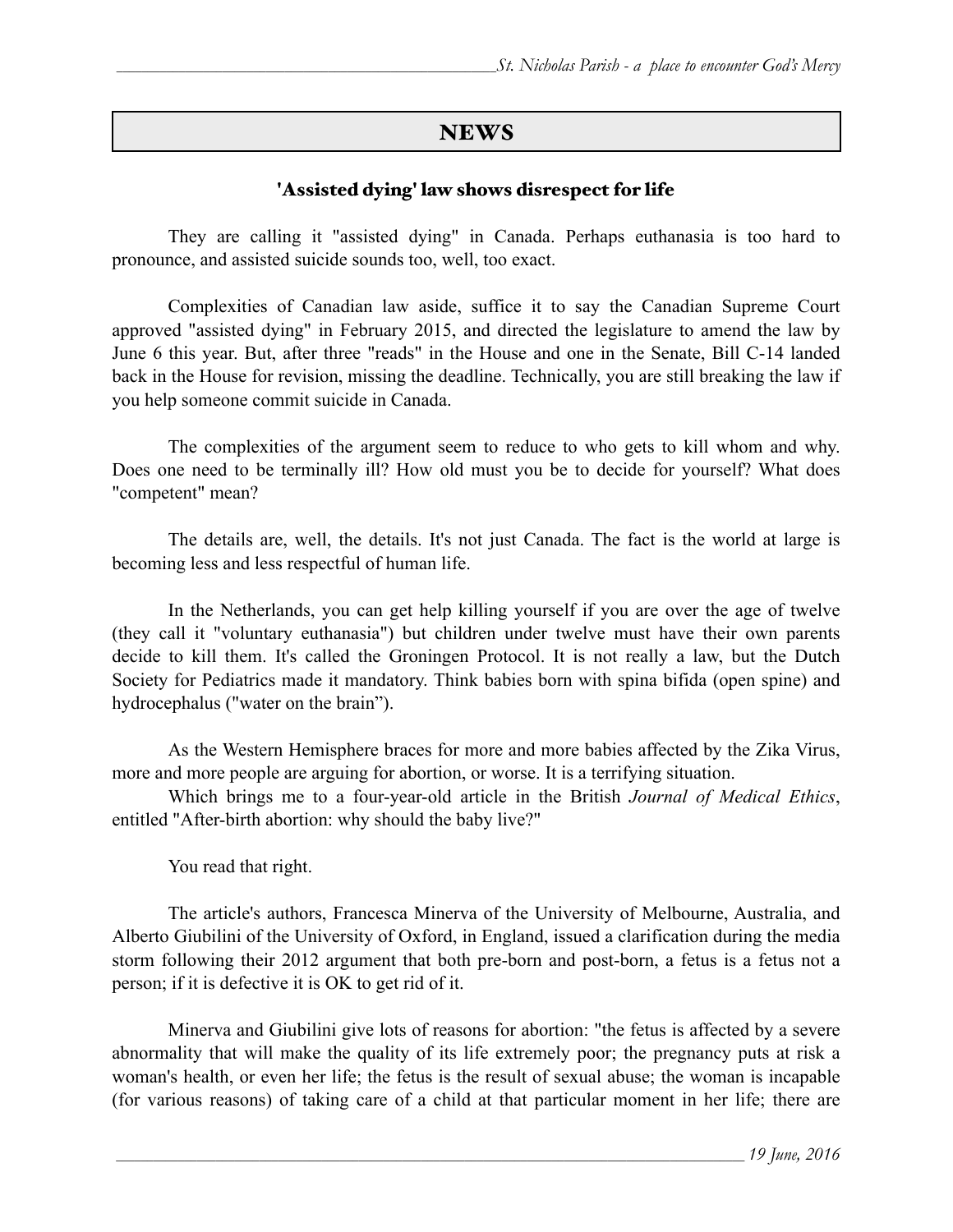### **NEWS**

### 'Assisted dying' law shows disrespect for life

[They are calling it "assisted dying" in Canada.](http://www.huffingtonpost.ca/2016/06/13/assisted-dying-bill-need-not-comply-with-supreme-court-ruling-justice-minister_n_10447336.html) Perhaps euthanasia is too hard to pronounce, and assisted suicide sounds too, well, too exact.

 [Complexities of Canadian law aside, suffice it to say the Canadian Supreme Court](http://ncronline.org/node/95701)  approved "assisted dying" in February 2015, and directed the legislature to amend the law by June 6 this year. But, after three "reads" in the House and one in the Senate, Bill C-14 landed back in the House for revision, missing the deadline. Technically, you are still breaking the law if you help someone commit suicide in Canada.

The complexities of the argument seem to reduce to who gets to kill whom and why. Does one need to be terminally ill? How old must you be to decide for yourself? What does "competent" mean?

The details are, well, the details. It's not just Canada. The fact is the world at large is becoming less and less respectful of human life.

 In the Netherlands, you can get help killing yourself if you are over the age of twelve (they call it "voluntary euthanasia") but children under twelve must have their own parents decide to kill them. It's called the Groningen Protocol. It is not really a law, but the Dutch Society for Pediatrics made it mandatory. Think babies born with [spina bifida](http://www.cdc.gov/ncbddd/spinabifida/facts.html) (open spine) and [hydrocephalus](http://www.ninds.nih.gov/disorders/hydrocephalus/detail_hydrocephalus.htm) ("water on the brain").

As the Western Hemisphere braces for more and more babies affected by the Zika Virus, more and more people are arguing for abortion, or worse. It is a terrifying situation.

 Which brings me to a four-year-old article in the British *Journal of Medical Ethics*, entitled ["After-birth abortion: why should the baby live?"](http://jme.bmj.com/content/early/2012/03/01/medethics-2011-100411.full)

You read that right.

 The article's authors, Francesca Minerva of the University of Melbourne, Australia, and Alberto Giubilini of the University of Oxford, in England, [issued a clarification](http://blogs.bmj.com/medical-ethics/2012/03/02/an-open-letter-from-giubilini-and-minerva/) during the media storm following their 2012 argument that both pre-born and post-born, a fetus is a fetus not a person; if it is defective it is OK to get rid of it.

[Minerva and Giubilini give lots of reasons for abortion:](https://www.academia.edu/3548696/_Some_clarifications_on_the_moral_status_of_newborns_and_the_normative_implications_Journal_of_Medical_Ethics_39_5_2013_264-265) "the fetus is affected by a severe abnormality that will make the quality of its life extremely poor; the pregnancy puts at risk a woman's health, or even her life; the fetus is the result of sexual abuse; the woman is incapable (for various reasons) of taking care of a child at that particular moment in her life; there are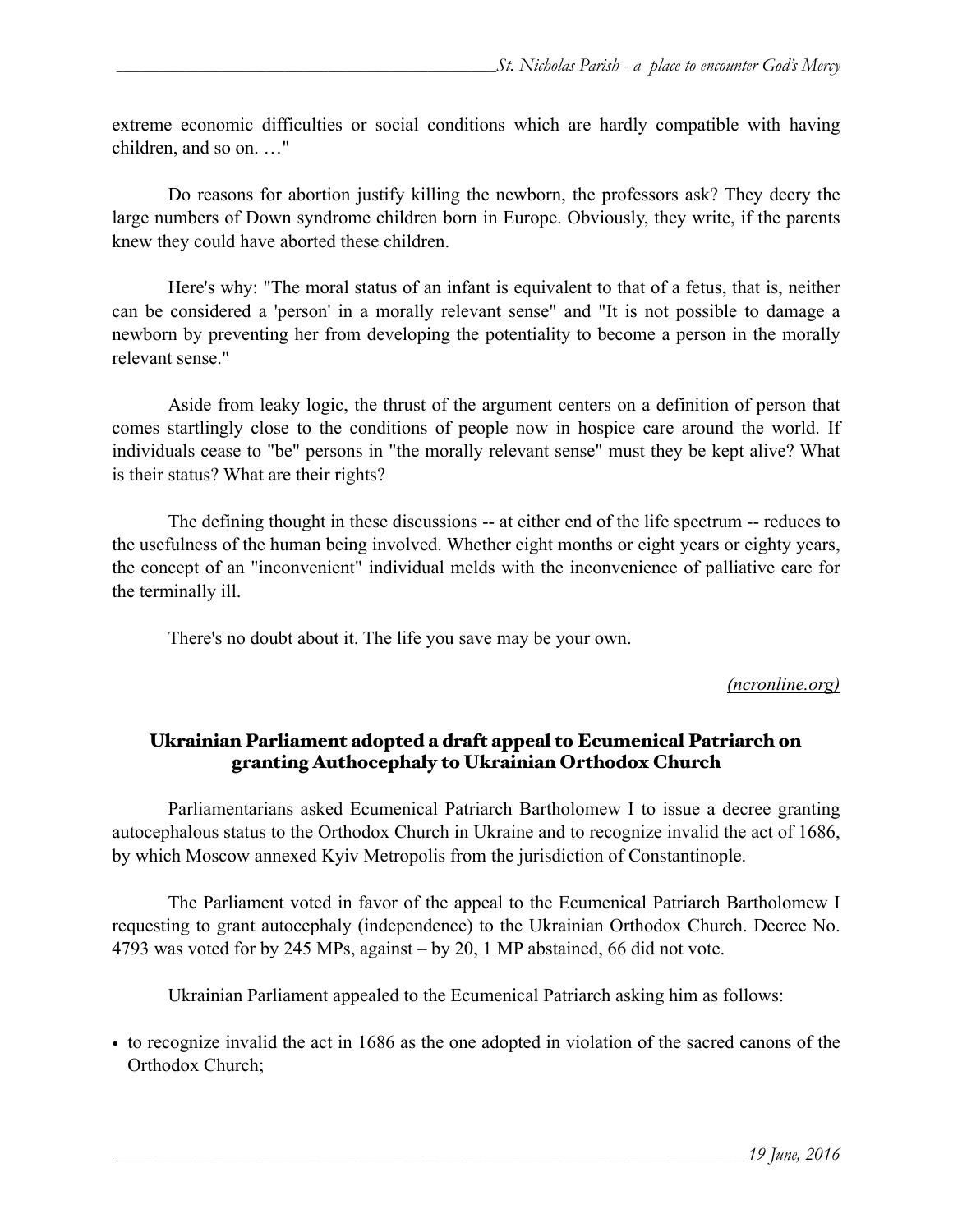extreme economic difficulties or social conditions which are hardly compatible with having children, and so on. …"

Do reasons for abortion justify killing the newborn, the professors ask? They decry the large numbers of Down syndrome children born in Europe. Obviously, they write, if the parents knew they could have aborted these children.

Here's why: "The moral status of an infant is equivalent to that of a fetus, that is, neither can be considered a 'person' in a morally relevant sense" and "It is not possible to damage a newborn by preventing her from developing the potentiality to become a person in the morally relevant sense."

Aside from leaky logic, the thrust of the argument centers on a definition of person that comes startlingly close to the conditions of people now in hospice care around the world. If individuals cease to "be" persons in "the morally relevant sense" must they be kept alive? What is their status? What are their rights?

The defining thought in these discussions -- at either end of the life spectrum -- reduces to the usefulness of the human being involved. Whether eight months or eight years or eighty years, the concept of an "inconvenient" individual melds with the inconvenience of palliative care for the terminally ill.

There's no doubt about it. The life you save may be your own.

### *(ncronline.org)*

### Ukrainian Parliament adopted a draft appeal to Ecumenical Patriarch on granting Authocephaly to Ukrainian Orthodox Church

Parliamentarians asked Ecumenical Patriarch Bartholomew I to issue a decree granting autocephalous status to the Orthodox Church in Ukraine and to recognize invalid the act of 1686, by which Moscow annexed Kyiv Metropolis from the jurisdiction of Constantinople.

The Parliament voted in favor of the appeal to the Ecumenical Patriarch Bartholomew I requesting to grant autocephaly (independence) to the Ukrainian Orthodox Church. Decree No. 4793 was voted for by 245 MPs, against – by 20, 1 MP abstained, 66 did not vote.

Ukrainian Parliament appealed to the Ecumenical Patriarch asking him as follows:

• to recognize invalid the act in 1686 as the one adopted in violation of the sacred canons of the Orthodox Church;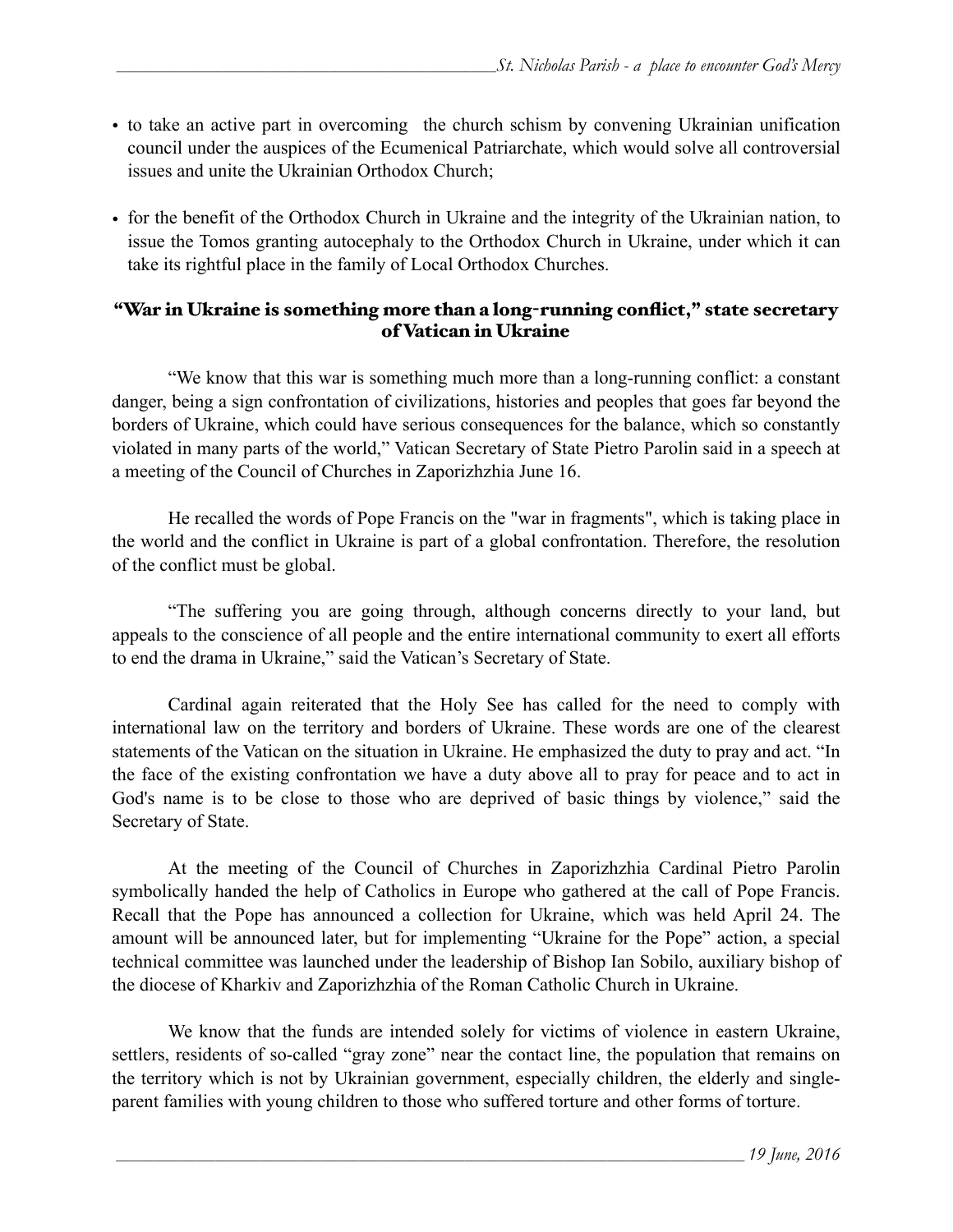- to take an active part in overcoming the church schism by convening Ukrainian unification council under the auspices of the Ecumenical Patriarchate, which would solve all controversial issues and unite the Ukrainian Orthodox Church;
- for the benefit of the Orthodox Church in Ukraine and the integrity of the Ukrainian nation, to issue the Tomos granting autocephaly to the Orthodox Church in Ukraine, under which it can take its rightful place in the family of Local Orthodox Churches.

### "War in Ukraine is something more than a long-running conflict," state secretary of Vatican in Ukraine

"We know that this war is something much more than a long-running conflict: a constant danger, being a sign confrontation of civilizations, histories and peoples that goes far beyond the borders of Ukraine, which could have serious consequences for the balance, which so constantly violated in many parts of the world," Vatican Secretary of State Pietro Parolin said in a speech at a meeting of the Council of Churches in Zaporizhzhia June 16.

He recalled the words of Pope Francis on the "war in fragments", which is taking place in the world and the conflict in Ukraine is part of a global confrontation. Therefore, the resolution of the conflict must be global.

"The suffering you are going through, although concerns directly to your land, but appeals to the conscience of all people and the entire international community to exert all efforts to end the drama in Ukraine," said the Vatican's Secretary of State.

 Cardinal again reiterated that the Holy See has called for the need to comply with international law on the territory and borders of Ukraine. These words are one of the clearest statements of the Vatican on the situation in Ukraine. He emphasized the duty to pray and act. "In the face of the existing confrontation we have a duty above all to pray for peace and to act in God's name is to be close to those who are deprived of basic things by violence," said the Secretary of State.

At the meeting of the Council of Churches in Zaporizhzhia Cardinal Pietro Parolin symbolically handed the help of Catholics in Europe who gathered at the call of Pope Francis. Recall that the Pope has announced a collection for Ukraine, which was held April 24. The amount will be announced later, but for implementing "Ukraine for the Pope" action, a special technical committee was launched under the leadership of Bishop Ian Sobilo, auxiliary bishop of the diocese of Kharkiv and Zaporizhzhia of the Roman Catholic Church in Ukraine.

We know that the funds are intended solely for victims of violence in eastern Ukraine, settlers, residents of so-called "gray zone" near the contact line, the population that remains on the territory which is not by Ukrainian government, especially children, the elderly and singleparent families with young children to those who suffered torture and other forms of torture.